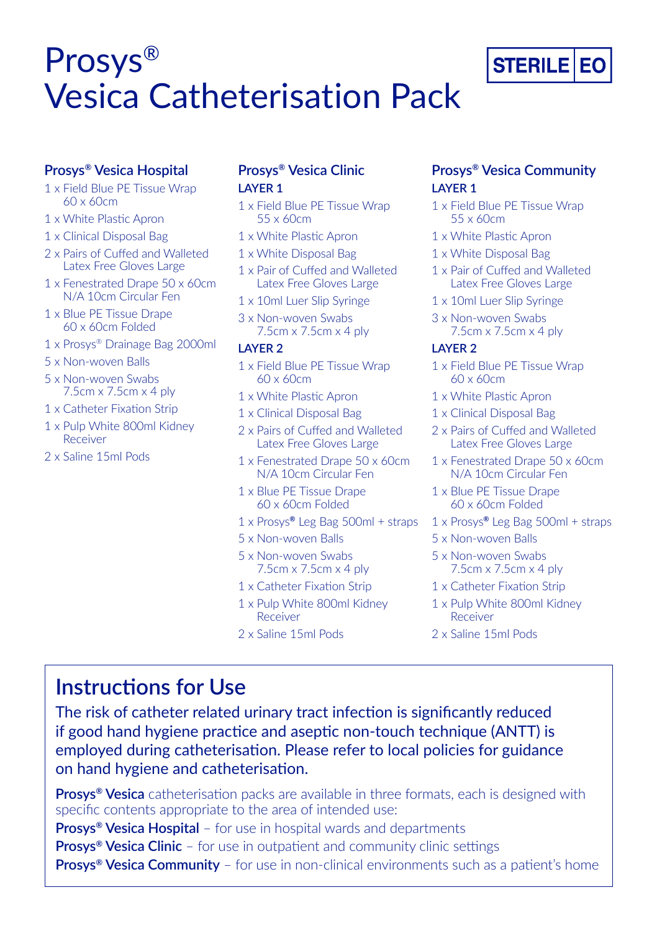# Prosys® Vesica Catheterisation Pack

## **Prosys® Vesica Hospital**

- 1 x Field Blue PE Tissue Wrap 60 x 60cm
- 1 x White Plastic Apron
- 1 x Clinical Disposal Bag
- 2 x Pairs of Cuffed and Walleted Latex Free Gloves Large
- 1 x Fenestrated Drape 50 x 60cm N/A 10cm Circular Fen
- 1 x Blue PE Tissue Drape 60 x 60cm Folded
- 1 x Prosys® Drainage Bag 2000ml
- 5 x Non-woven Balls
- 5 x Non-woven Swabs 7.5cm x 7.5cm x 4 ply
- 1 x Catheter Fixation Strip
- 1 x Pulp White 800ml Kidney Receiver
- 2 x Saline 15ml Pods

# **Prosys® Vesica Clinic LAYER 1**

- 1 x Field Blue PE Tissue Wrap 55 x 60cm
- 1 x White Plastic Apron
- 1 x White Disposal Bag
- 1 x Pair of Cuffed and Walleted Latex Free Gloves Large
- 1 x 10ml Luer Slip Syringe
- 3 x Non-woven Swabs 7.5cm x 7.5cm x 4 ply

#### **LAYER 2**

- 1 x Field Blue PE Tissue Wrap 60 x 60cm
- 1 x White Plastic Apron
- 1 x Clinical Disposal Bag
- 2 x Pairs of Cuffed and Walleted Latex Free Gloves Large
- 1 x Fenestrated Drape 50 x 60cm N/A 10cm Circular Fen
- 1 x Blue PE Tissue Drape 60 x 60cm Folded
- 1 x Prosys**®** Leg Bag 500ml + straps
- 5 x Non-woven Balls
- 5 x Non-woven Swabs 7.5cm x 7.5cm x 4 ply
- 1 x Catheter Fixation Strip
- 1 x Pulp White 800ml Kidney Receiver
- 2 x Saline 15ml Pods

# **Prosys® Vesica Community LAYER 1**

- 1 x Field Blue PE Tissue Wrap 55 x 60cm
- 1 x White Plastic Apron
- 1 x White Disposal Bag
- 1 x Pair of Cuffed and Walleted Latex Free Gloves Large
- 1 x 10ml Luer Slip Syringe
- 3 x Non-woven Swabs 7.5cm x 7.5cm x 4 ply

### **LAYER 2**

- 1 x Field Blue PE Tissue Wrap 60 x 60cm
- 1 x White Plastic Apron
- 1 x Clinical Disposal Bag
- 2 x Pairs of Cuffed and Walleted Latex Free Gloves Large
- 1 x Fenestrated Drape 50 x 60cm N/A 10cm Circular Fen
- 1 x Blue PE Tissue Drape 60 x 60cm Folded
- 1 x Prosys**®** Leg Bag 500ml + straps
- 5 x Non-woven Balls
- 5 x Non-woven Swabs 7.5cm x 7.5cm x 4 ply
- 1 x Catheter Fixation Strip
- 1 x Pulp White 800ml Kidney Receiver
- 2 x Saline 15ml Pods

# **Instructions for Use**

The risk of catheter related urinary tract infection is significantly reduced if good hand hygiene practice and aseptic non-touch technique (ANTT) is employed during catheterisation. Please refer to local policies for guidance on hand hygiene and catheterisation.

**Prosys® Vesica** catheterisation packs are available in three formats, each is designed with specific contents appropriate to the area of intended use: **Prosys® Vesica Hospital** – for use in hospital wards and departments **Prosys® Vesica Clinic** – for use in outpatient and community clinic settings **Prosys® Vesica Community** – for use in non-clinical environments such as a patient's home